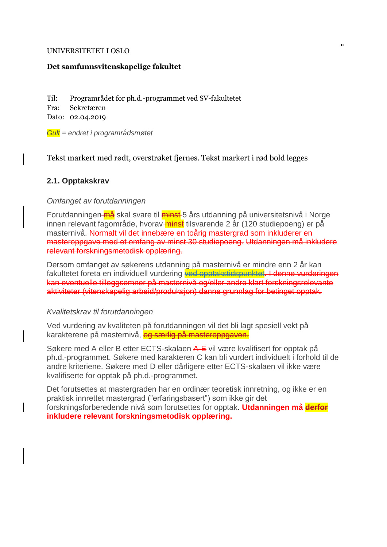#### UNIVERSITETET I OSLO

#### **Det samfunnsvitenskapelige fakultet**

Til: Programrådet for ph.d.-programmet ved SV-fakultetet

Fra: Sekretæren

Dato: 02.04.2019

*Gult = endret i programrådsmøtet*

Tekst markert med rødt, overstrøket fjernes. Tekst markert i rød bold legges

## **2.1. Opptakskrav**

### *Omfanget av forutdanningen*

Forutdanningen <del>må</del> skal svare til minst 5 års utdanning på universitetsnivå i Norge innen relevant fagområde, hvorav-minst tilsvarende 2 år (120 studiepoeng) er på masternivå. Normalt vil det innebære en toårig mastergrad som inkluderer en masteroppgave med et omfang av minst 30 studiepoeng. Utdanningen må inkludere relevant forskningsmetodisk opplæring.

Dersom omfanget av søkerens utdanning på masternivå er mindre enn 2 år kan fakultetet foreta en individuell vurdering ved opptakstidspunktet. I denne vurderingen kan eventuelle tilleggsemner på masternivå og/eller andre klart forskningsrelevante aktiviteter (vitenskapelig arbeid/produksjon) danne grunnlag for betinget opptak.

### *Kvalitetskrav til forutdanningen*

Ved vurdering av kvaliteten på forutdanningen vil det bli lagt spesiell vekt på karakterene på masternivå, og særlig på masteroppgaven.

Søkere med A eller B etter ECTS-skalaen A-E vil være kvalifisert for opptak på ph.d.-programmet. Søkere med karakteren C kan bli vurdert individuelt i forhold til de andre kriteriene. Søkere med D eller dårligere etter ECTS-skalaen vil ikke være kvalifiserte for opptak på ph.d.-programmet.

Det forutsettes at mastergraden har en ordinær teoretisk innretning, og ikke er en praktisk innrettet mastergrad ("erfaringsbasert") som ikke gir det forskningsforberedende nivå som forutsettes for opptak. **Utdanningen må derfor inkludere relevant forskningsmetodisk opplæring.**